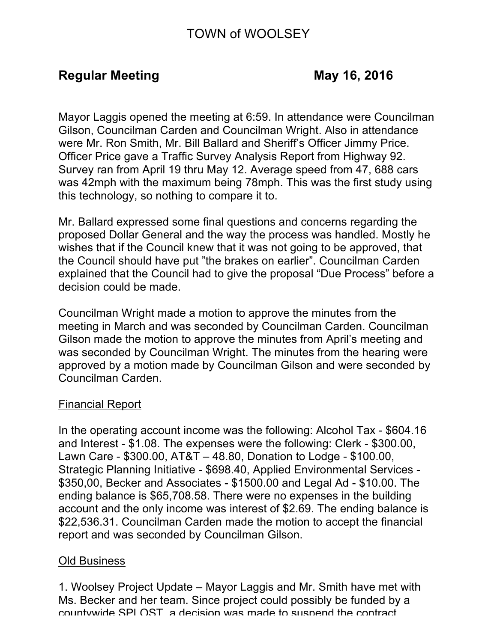# TOWN of WOOLSEY

## **Regular Meeting May 16, 2016**

Mayor Laggis opened the meeting at 6:59. In attendance were Councilman Gilson, Councilman Carden and Councilman Wright. Also in attendance were Mr. Ron Smith, Mr. Bill Ballard and Sheriff's Officer Jimmy Price. Officer Price gave a Traffic Survey Analysis Report from Highway 92. Survey ran from April 19 thru May 12. Average speed from 47, 688 cars was 42mph with the maximum being 78mph. This was the first study using this technology, so nothing to compare it to.

Mr. Ballard expressed some final questions and concerns regarding the proposed Dollar General and the way the process was handled. Mostly he wishes that if the Council knew that it was not going to be approved, that the Council should have put "the brakes on earlier". Councilman Carden explained that the Council had to give the proposal "Due Process" before a decision could be made.

Councilman Wright made a motion to approve the minutes from the meeting in March and was seconded by Councilman Carden. Councilman Gilson made the motion to approve the minutes from April's meeting and was seconded by Councilman Wright. The minutes from the hearing were approved by a motion made by Councilman Gilson and were seconded by Councilman Carden.

#### Financial Report

In the operating account income was the following: Alcohol Tax - \$604.16 and Interest - \$1.08. The expenses were the following: Clerk - \$300.00, Lawn Care - \$300.00, AT&T – 48.80, Donation to Lodge - \$100.00, Strategic Planning Initiative - \$698.40, Applied Environmental Services - \$350,00, Becker and Associates - \$1500.00 and Legal Ad - \$10.00. The ending balance is \$65,708.58. There were no expenses in the building account and the only income was interest of \$2.69. The ending balance is \$22,536.31. Councilman Carden made the motion to accept the financial report and was seconded by Councilman Gilson.

#### Old Business

1. Woolsey Project Update – Mayor Laggis and Mr. Smith have met with Ms. Becker and her team. Since project could possibly be funded by a countywide SPLOST, a decision was made to suspend the contract